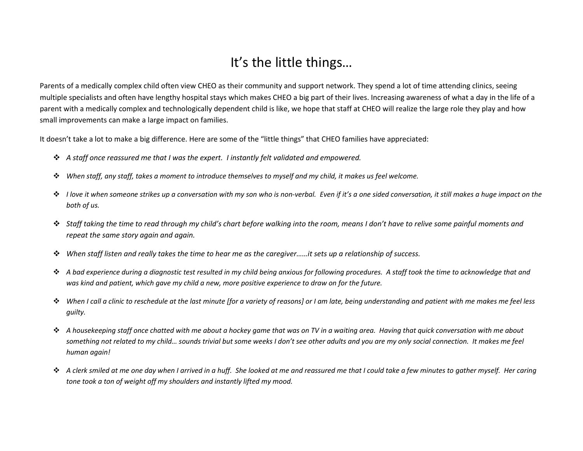## It's the little things…

Parents of a medically complex child often view CHEO as their community and support network. They spend a lot of time attending clinics, seeing multiple specialists and often have lengthy hospital stays which makes CHEO a big part of their lives. Increasing awareness of what a day in the life of a parent with a medically complex and technologically dependent child is like, we hope that staff at CHEO will realize the large role they play and how small improvements can make a large impact on families.

It doesn't take a lot to make a big difference. Here are some of the "little things" that CHEO families have appreciated:

- *A staff once reassured me that I was the expert. I instantly felt validated and empowered.*
- *When staff, any staff, takes a moment to introduce themselves to myself and my child, it makes us feel welcome.*
- *I love it when someone strikes up a conversation with my son who is non-verbal. Even if it's a one sided conversation, it still makes a huge impact on the both of us.*
- *Staff taking the time to read through my child's chart before walking into the room, means I don't have to relive some painful moments and repeat the same story again and again.*
- *When staff listen and really takes the time to hear me as the caregiver……it sets up a relationship of success.*
- *A bad experience during a diagnostic test resulted in my child being anxious for following procedures. A staff took the time to acknowledge that and was kind and patient, which gave my child a new, more positive experience to draw on for the future.*
- *When I call a clinic to reschedule at the last minute [for a variety of reasons] or I am late, being understanding and patient with me makes me feel less guilty.*
- *A housekeeping staff once chatted with me about a hockey game that was on TV in a waiting area. Having that quick conversation with me about something not related to my child… sounds trivial but some weeks I don't see other adults and you are my only social connection. It makes me feel human again!*
- *A clerk smiled at me one day when I arrived in a huff. She looked at me and reassured me that I could take a few minutes to gather myself. Her caring tone took a ton of weight off my shoulders and instantly lifted my mood.*